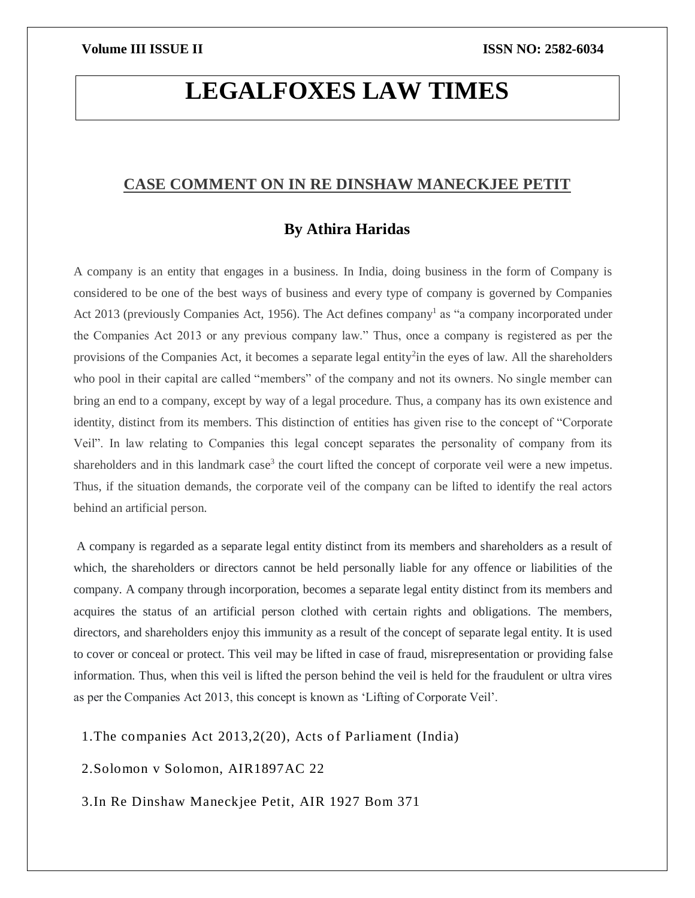# **LEGALFOXES LAW TIMES**

## **CASE COMMENT ON IN RE DINSHAW MANECKJEE PETIT**

# **By Athira Haridas**

A company is an entity that engages in a business. In India, doing business in the form of Company is considered to be one of the best ways of business and every type of company is governed by Companies Act 2013 (previously Companies Act, 1956). The Act defines company<sup>1</sup> as "a company incorporated under the Companies Act 2013 or any previous company law." Thus, once a company is registered as per the provisions of the Companies Act, it becomes a separate legal entity<sup>2</sup>in the eyes of law. All the shareholders who pool in their capital are called "members" of the company and not its owners. No single member can bring an end to a company, except by way of a legal procedure. Thus, a company has its own existence and identity, distinct from its members. This distinction of entities has given rise to the concept of "Corporate Veil". In law relating to Companies this legal concept separates the personality of company from its shareholders and in this landmark case<sup>3</sup> the court lifted the concept of corporate veil were a new impetus. Thus, if the situation demands, the corporate veil of the company can be lifted to identify the real actors behind an artificial person.

A company is regarded as a separate legal entity distinct from its members and shareholders as a result of which, the shareholders or directors cannot be held personally liable for any offence or liabilities of the company. A company through incorporation, becomes a separate legal entity distinct from its members and acquires the status of an artificial person clothed with certain rights and obligations. The members, directors, and shareholders enjoy this immunity as a result of the concept of separate legal entity. It is used to cover or conceal or protect. This veil may be lifted in case of fraud, misrepresentation or providing false information. Thus, when this veil is lifted the person behind the veil is held for the fraudulent or ultra vires as per the Companies Act 2013, this concept is known as 'Lifting of Corporate Veil'.

1. The companies Act  $2013,2(20)$ , Acts of Parliament (India)

2.Solomon v Solomon, AIR1897AC 22

3.In Re Dinshaw Maneckjee Petit, AIR 1927 Bom 371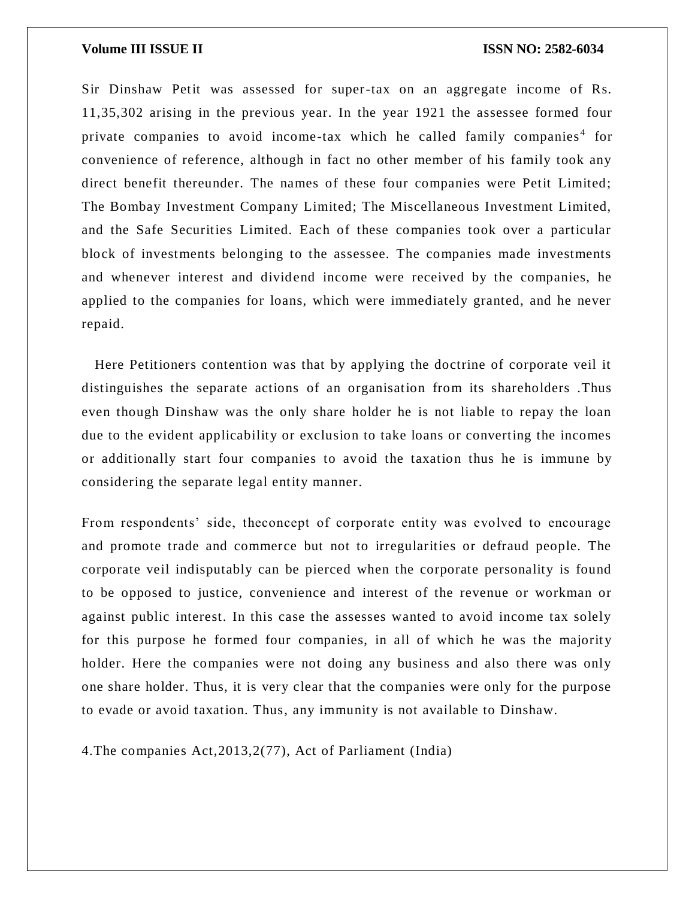### **Volume III ISSUE II ISSN NO: 2582-6034**

Sir Dinshaw Petit was assessed for super-tax on an aggregate income of Rs. 11,35,302 arising in the previous year. In the year 1921 the assessee formed four private companies to avoid income-tax which he called family companies<sup>4</sup> for convenience of reference, although in fact no other member of his family took any direct benefit thereunder. The names of these four companies were Petit Limited; The Bombay Investment Company Limited; The Miscellaneous Investment Limited, and the Safe Securities Limited. Each of these companies took over a particular block of investments belonging to the assessee. The companies made investments and whenever interest and dividend income were received by the companies, he applied to the companies for loans, which were immediately granted, and he never repaid.

 Here Petitioners contention was that by applying the doctrine of corporate veil it distinguishes the separate actions of an organisation from its shareholders .Thus even though Dinshaw was the only share holder he is not liable to repay the loan due to the evident applicability or exclusion to take loans or converting the incomes or additionally start four companies to avoid the taxation thus he is immune by considering the separate legal entity manner.

From respondents' side, theconcept of corporate entity was evolved to encourage and promote trade and commerce but not to irregularities or defraud people. The corporate veil indisputably can be pierced when the corporate personality is found to be opposed to justice, convenience and interest of the revenue or workman or against public interest. In this case the assesses wanted to avoid income tax solely for this purpose he formed four companies, in all of which he was the majority holder. Here the companies were not doing any business and also there was only one share holder. Thus, it is very clear that the companies were only for the purpose to evade or avoid taxation. Thus, any immunity is not available to Dinshaw.

4.The companies Act,2013,2(77), Act of Parliament (India)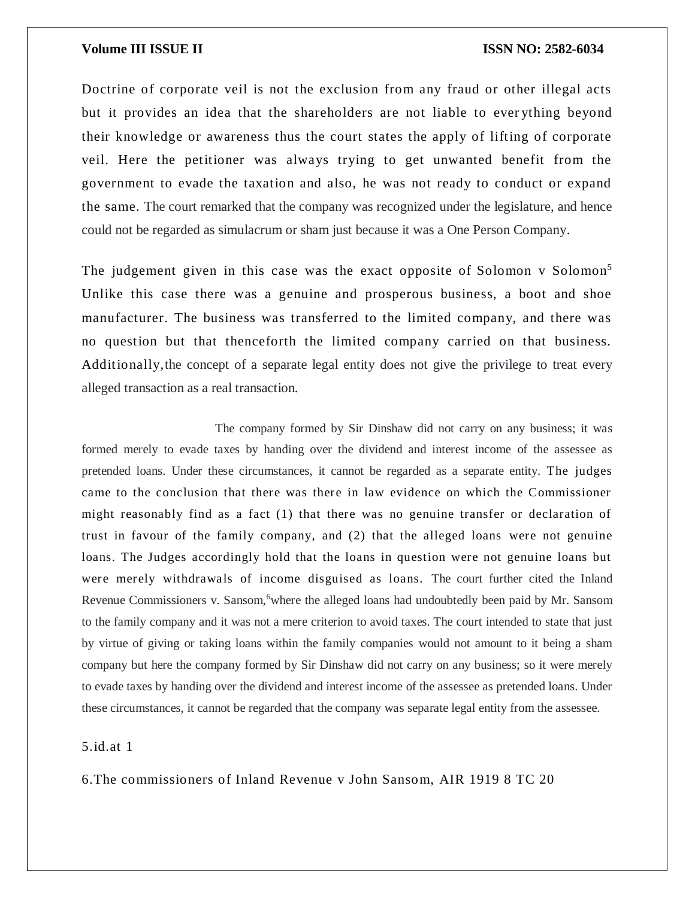### **Volume III ISSUE II III ISSN NO:** 2582-6034

Doctrine of corporate veil is not the exclusion from any fraud or other illegal acts but it provides an idea that the shareholders are not liable to ever ything beyond their knowledge or awareness thus the court states the apply of lifting of corporate veil. Here the petitioner was always trying to get unwanted benefit from the government to evade the taxation and also, he was not ready to conduct or expand the same. The court remarked that the company was recognized under the legislature, and hence could not be regarded as simulacrum or sham just because it was a One Person Company.

The judgement given in this case was the exact opposite of Solomon v Solomon<sup>5</sup> Unlike this case there was a genuine and prosperous business, a boot and shoe manufacturer. The business was transferred to the limited company, and there was no question but that thenceforth the limited company carried on that business. Additionally,the concept of a separate legal entity does not give the privilege to treat every alleged transaction as a real transaction.

 The company formed by Sir Dinshaw did not carry on any business; it was formed merely to evade taxes by handing over the dividend and interest income of the assessee as pretended loans. Under these circumstances, it cannot be regarded as a separate entity. The judges came to the conclusion that there was there in law evidence on which the Commissioner might reasonably find as a fact (1) that there was no genuine transfer or declaration of trust in favour of the family company, and (2) that the alleged loans were not genuine loans. The Judges accordingly hold that the loans in question were not genuine loans but were merely withdrawals of income disguised as loans. The court further cited the Inland Revenue Commissioners v. Sansom, where the alleged loans had undoubtedly been paid by Mr. Sansom to the family company and it was not a mere criterion to avoid taxes. The court intended to state that just by virtue of giving or taking loans within the family companies would not amount to it being a sham company but here the company formed by Sir Dinshaw did not carry on any business; so it were merely to evade taxes by handing over the dividend and interest income of the assessee as pretended loans. Under these circumstances, it cannot be regarded that the company was separate legal entity from the assessee.

### 5.id.at 1

6.The commissioners of Inland Revenue v John Sansom, AIR 1919 8 TC 20